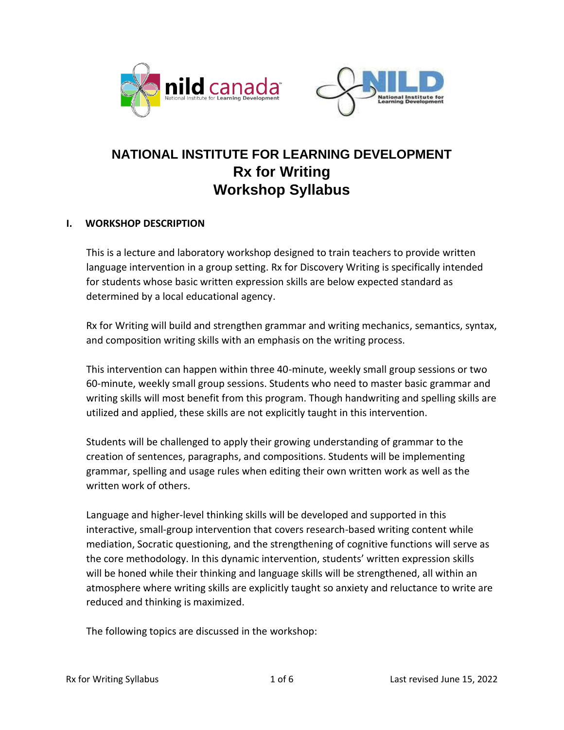



# **NATIONAL INSTITUTE FOR LEARNING DEVELOPMENT Rx for Writing Workshop Syllabus**

## **I. WORKSHOP DESCRIPTION**

This is a lecture and laboratory workshop designed to train teachers to provide written language intervention in a group setting. Rx for Discovery Writing is specifically intended for students whose basic written expression skills are below expected standard as determined by a local educational agency.

Rx for Writing will build and strengthen grammar and writing mechanics, semantics, syntax, and composition writing skills with an emphasis on the writing process.

This intervention can happen within three 40-minute, weekly small group sessions or two 60-minute, weekly small group sessions. Students who need to master basic grammar and writing skills will most benefit from this program. Though handwriting and spelling skills are utilized and applied, these skills are not explicitly taught in this intervention.

Students will be challenged to apply their growing understanding of grammar to the creation of sentences, paragraphs, and compositions. Students will be implementing grammar, spelling and usage rules when editing their own written work as well as the written work of others.

Language and higher-level thinking skills will be developed and supported in this interactive, small-group intervention that covers research-based writing content while mediation, Socratic questioning, and the strengthening of cognitive functions will serve as the core methodology. In this dynamic intervention, students' written expression skills will be honed while their thinking and language skills will be strengthened, all within an atmosphere where writing skills are explicitly taught so anxiety and reluctance to write are reduced and thinking is maximized.

The following topics are discussed in the workshop: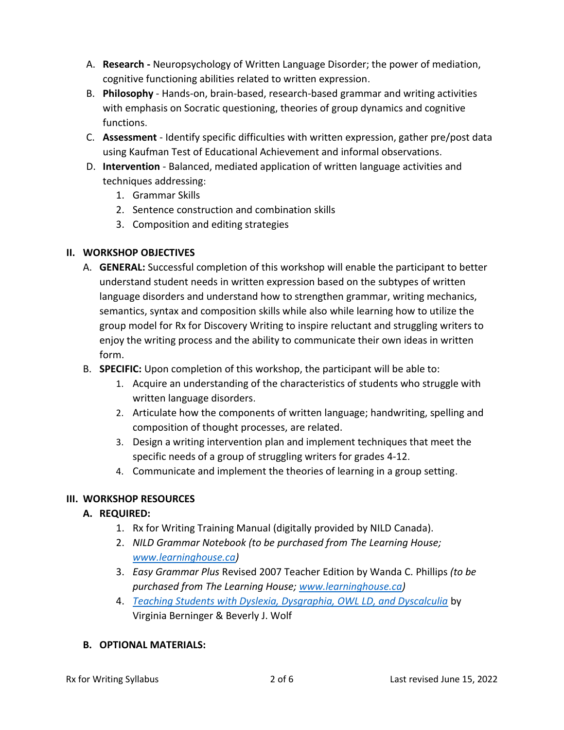- A. **Research -** Neuropsychology of Written Language Disorder; the power of mediation, cognitive functioning abilities related to written expression.
- B. **Philosophy**  Hands-on, brain-based, research-based grammar and writing activities with emphasis on Socratic questioning, theories of group dynamics and cognitive functions.
- C. **Assessment**  Identify specific difficulties with written expression, gather pre/post data using Kaufman Test of Educational Achievement and informal observations.
- D. **Intervention**  Balanced, mediated application of written language activities and techniques addressing:
	- 1. Grammar Skills
	- 2. Sentence construction and combination skills
	- 3. Composition and editing strategies

## **II. WORKSHOP OBJECTIVES**

- A. **GENERAL:** Successful completion of this workshop will enable the participant to better understand student needs in written expression based on the subtypes of written language disorders and understand how to strengthen grammar, writing mechanics, semantics, syntax and composition skills while also while learning how to utilize the group model for Rx for Discovery Writing to inspire reluctant and struggling writers to enjoy the writing process and the ability to communicate their own ideas in written form.
- B. **SPECIFIC:** Upon completion of this workshop, the participant will be able to:
	- 1. Acquire an understanding of the characteristics of students who struggle with written language disorders.
	- 2. Articulate how the components of written language; handwriting, spelling and composition of thought processes, are related.
	- 3. Design a writing intervention plan and implement techniques that meet the specific needs of a group of struggling writers for grades 4-12.
	- 4. Communicate and implement the theories of learning in a group setting.

## **III. WORKSHOP RESOURCES**

## **A. REQUIRED:**

- 1. Rx for Writing Training Manual (digitally provided by NILD Canada).
- 2. *NILD Grammar Notebook (to be purchased from The Learning House; [www.learninghouse.ca\)](http://www.learninghouse.ca/)*
- 3. *Easy Grammar Plus* Revised 2007 Teacher Edition by Wanda C. Phillips *(to be purchased from The Learning House; [www.learninghouse.ca\)](http://www.learninghouse.ca/)*
- 4. *[Teaching Students with Dyslexia, Dysgraphia, OWL LD, and Dyscalculia](https://amzn.to/3k5MBq8)* by Virginia Berninger & Beverly J. Wolf

## **B. OPTIONAL MATERIALS:**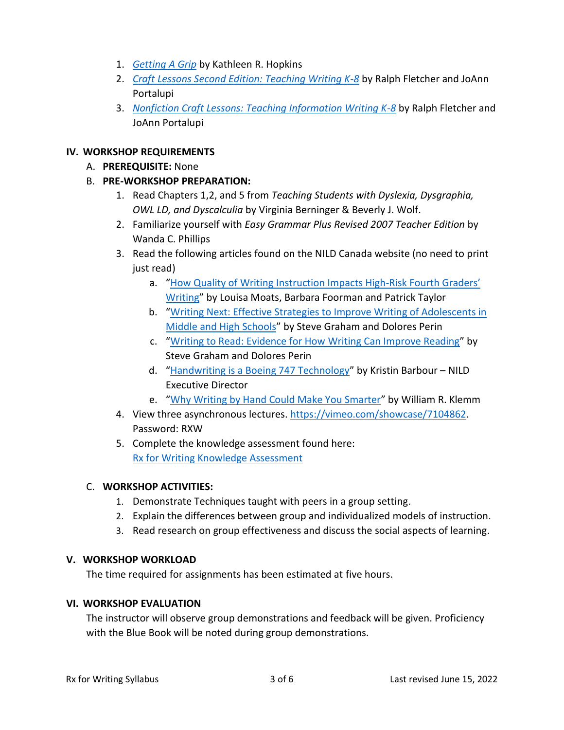- 1. *[Getting A Grip](https://amzn.to/302d9BD)* by Kathleen R. Hopkins
- 2. *[Craft Lessons Second Edition: Teaching Writing K-8](https://amzn.to/2ZTWmAd)* by Ralph Fletcher and JoAnn Portalupi
- 3. *[Nonfiction Craft Lessons: Teaching Information Writing K-8](https://amzn.to/2ZR5Z3n)* by Ralph Fletcher and JoAnn Portalupi

## **IV. WORKSHOP REQUIREMENTS**

- A. **PREREQUISITE:** None
- B. **PRE-WORKSHOP PREPARATION:**
	- 1. Read Chapters 1,2, and 5 from *Teaching Students with Dyslexia, Dysgraphia, OWL LD, and Dyscalculia* by Virginia Berninger & Beverly J. Wolf.
	- 2. Familiarize yourself with *Easy Grammar Plus Revised 2007 Teacher Edition* by Wanda C. Phillips
	- 3. Read the following articles found on the NILD Canada website (no need to print just read)
		- a. "How Quality of Writing [Instruction Impacts High-](https://nildcanada.org/wp-content/uploads/2020/12/How-Quality-of-Writing-Instruction-Impacts-High-risk-Fourth-Graders-Writing-by-Louisa-Moats.pdf)Risk Fourth Graders' [Writing](https://nildcanada.org/wp-content/uploads/2020/12/How-Quality-of-Writing-Instruction-Impacts-High-risk-Fourth-Graders-Writing-by-Louisa-Moats.pdf)" by Louisa Moats, Barbara Foorman and Patrick Taylor
		- b. "[Writing Next: Effective Strategies to Improve Writing of Adolescents in](https://nildcanada.org/wp-content/uploads/2020/12/Writing-Next-by-Steve-Graham-and-Dolores-Perin.pdf)  [Middle and High Schools](https://nildcanada.org/wp-content/uploads/2020/12/Writing-Next-by-Steve-Graham-and-Dolores-Perin.pdf)" by Steve Graham and Dolores Perin
		- c. "[Writing to Read: Evidence for How](https://nildcanada.org/wp-content/uploads/2020/12/Writing-to-Read-by-Steve-Graham-and-Michael-Hebert.pdf) Writing Can Improve Reading" by Steve Graham and Dolores Perin
		- d. "[Handwriting is a Boeing 747 Technology](https://nildcanada.org/wp-content/uploads/2020/12/Handwriting-is-Boeing-747-Technology-by-Kristin-Barbour.pdf)" by Kristin Barbour NILD Executive Director
		- e. "[Why Writing by Hand Could Make You Smarter](https://nildcanada.org/wp-content/uploads/2020/12/Why-Writing-by-Hand-Could-Make-You-Smarter-by-William-Klemm-1.pdf)" by William R. Klemm
	- 4. View three asynchronous lectures. [https://vimeo.com/showcase/7104862.](https://vimeo.com/showcase/7104862) Password: RXW
	- 5. Complete the knowledge assessment found here: [Rx for Writing Knowledge Assessment](https://docs.google.com/forms/d/1N5_vYtrprx57KauXI1-ZZsCxHQGUoHoVeT9EpoiuHgI/edit)

## C. **WORKSHOP ACTIVITIES:**

- 1. Demonstrate Techniques taught with peers in a group setting.
- 2. Explain the differences between group and individualized models of instruction.
- 3. Read research on group effectiveness and discuss the social aspects of learning.

## **V. WORKSHOP WORKLOAD**

The time required for assignments has been estimated at five hours.

## **VI. WORKSHOP EVALUATION**

The instructor will observe group demonstrations and feedback will be given. Proficiency with the Blue Book will be noted during group demonstrations.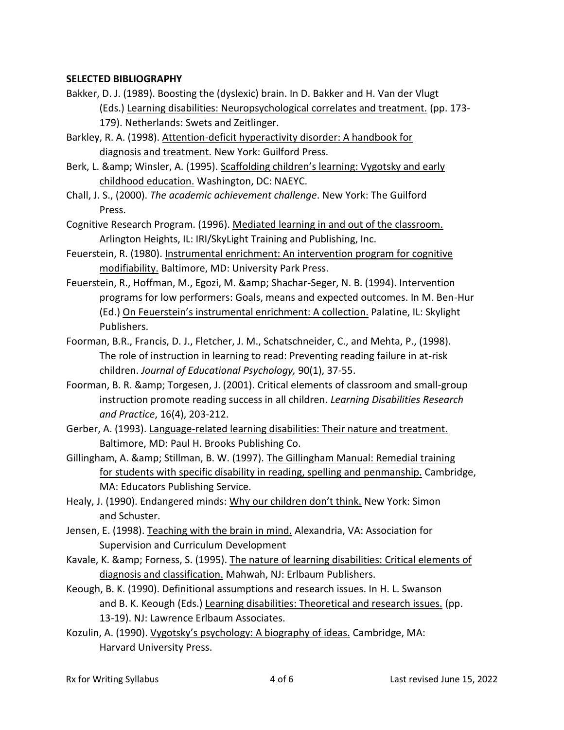#### **SELECTED BIBLIOGRAPHY**

- Bakker, D. J. (1989). Boosting the (dyslexic) brain. In D. Bakker and H. Van der Vlugt (Eds.) Learning disabilities: Neuropsychological correlates and treatment. (pp. 173- 179). Netherlands: Swets and Zeitlinger.
- Barkley, R. A. (1998). Attention-deficit hyperactivity disorder: A handbook for diagnosis and treatment. New York: Guilford Press.
- Berk, L. & amp; Winsler, A. (1995). Scaffolding children's learning: Vygotsky and early childhood education. Washington, DC: NAEYC.
- Chall, J. S., (2000). *The academic achievement challenge*. New York: The Guilford Press.
- Cognitive Research Program. (1996). Mediated learning in and out of the classroom. Arlington Heights, IL: IRI/SkyLight Training and Publishing, Inc.
- Feuerstein, R. (1980). Instrumental enrichment: An intervention program for cognitive modifiability. Baltimore, MD: University Park Press.
- Feuerstein, R., Hoffman, M., Egozi, M. & amp; Shachar-Seger, N. B. (1994). Intervention programs for low performers: Goals, means and expected outcomes. In M. Ben-Hur (Ed.) On Feuerstein's instrumental enrichment: A collection. Palatine, IL: Skylight Publishers.
- Foorman, B.R., Francis, D. J., Fletcher, J. M., Schatschneider, C., and Mehta, P., (1998). The role of instruction in learning to read: Preventing reading failure in at-risk children. *Journal of Educational Psychology,* 90(1), 37-55.
- Foorman, B. R. & amp; Torgesen, J. (2001). Critical elements of classroom and small-group instruction promote reading success in all children. *Learning Disabilities Research and Practice*, 16(4), 203-212.
- Gerber, A. (1993). Language-related learning disabilities: Their nature and treatment. Baltimore, MD: Paul H. Brooks Publishing Co.
- Gillingham, A. & amp; Stillman, B. W. (1997). The Gillingham Manual: Remedial training for students with specific disability in reading, spelling and penmanship. Cambridge, MA: Educators Publishing Service.
- Healy, J. (1990). Endangered minds: Why our children don't think. New York: Simon and Schuster.
- Jensen, E. (1998). Teaching with the brain in mind. Alexandria, VA: Association for Supervision and Curriculum Development
- Kavale, K. & amp; Forness, S. (1995). The nature of learning disabilities: Critical elements of diagnosis and classification. Mahwah, NJ: Erlbaum Publishers.
- Keough, B. K. (1990). Definitional assumptions and research issues. In H. L. Swanson and B. K. Keough (Eds.) Learning disabilities: Theoretical and research issues. (pp. 13-19). NJ: Lawrence Erlbaum Associates.
- Kozulin, A. (1990). Vygotsky's psychology: A biography of ideas. Cambridge, MA: Harvard University Press.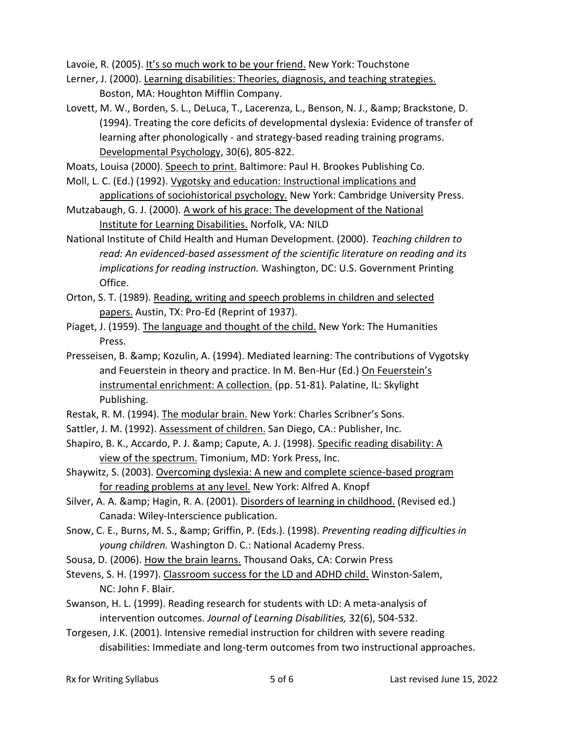Lavoie, R. (2005). It's so much work to be your friend. New York: Touchstone

- Lerner, J. (2000). Learning disabilities: Theories, diagnosis, and teaching strategies. Boston, MA: Houghton Mifflin Company.
- Lovett, M. W., Borden, S. L., DeLuca, T., Lacerenza, L., Benson, N. J., & amp; Brackstone, D. (1994). Treating the core deficits of developmental dyslexia: Evidence of transfer of learning after phonologically - and strategy-based reading training programs. Developmental Psychology, 30(6), 805-822.

Moats, Louisa (2000). Speech to print. Baltimore: Paul H. Brookes Publishing Co.

- Moll, L. C. (Ed.) (1992). Vygotsky and education: Instructional implications and applications of sociohistorical psychology. New York: Cambridge University Press.
- Mutzabaugh, G. J. (2000). A work of his grace: The development of the National Institute for Learning Disabilities. Norfolk, VA: NILD
- National Institute of Child Health and Human Development. (2000). *Teaching children to read: An evidenced-based assessment of the scientific literature on reading and its implications for reading instruction.* Washington, DC: U.S. Government Printing Office.
- Orton, S. T. (1989). Reading, writing and speech problems in children and selected papers. Austin, TX: Pro-Ed (Reprint of 1937).
- Piaget, J. (1959). The language and thought of the child. New York: The Humanities Press.
- Presseisen, B. & amp; Kozulin, A. (1994). Mediated learning: The contributions of Vygotsky and Feuerstein in theory and practice. In M. Ben-Hur (Ed.) On Feuerstein's instrumental enrichment: A collection. (pp. 51-81). Palatine, IL: Skylight Publishing.
- Restak, R. M. (1994). The modular brain. New York: Charles Scribner's Sons.
- Sattler, J. M. (1992). Assessment of children. San Diego, CA.: Publisher, Inc.
- Shapiro, B. K., Accardo, P. J. & amp; Capute, A. J. (1998). Specific reading disability: A view of the spectrum. Timonium, MD: York Press, Inc.
- Shaywitz, S. (2003). Overcoming dyslexia: A new and complete science-based program for reading problems at any level. New York: Alfred A. Knopf
- Silver, A. A. & amp; Hagin, R. A. (2001). Disorders of learning in childhood. (Revised ed.) Canada: Wiley-Interscience publication.
- Snow, C. E., Burns, M. S., & Griffin, P. (Eds.). (1998). *Preventing reading difficulties in young children.* Washington D. C.: National Academy Press.
- Sousa, D. (2006). How the brain learns. Thousand Oaks, CA: Corwin Press
- Stevens, S. H. (1997). Classroom success for the LD and ADHD child. Winston-Salem, NC: John F. Blair.
- Swanson, H. L. (1999). Reading research for students with LD: A meta-analysis of intervention outcomes. *Journal of Learning Disabilities,* 32(6), 504-532.
- Torgesen, J.K. (2001). Intensive remedial instruction for children with severe reading disabilities: Immediate and long-term outcomes from two instructional approaches.